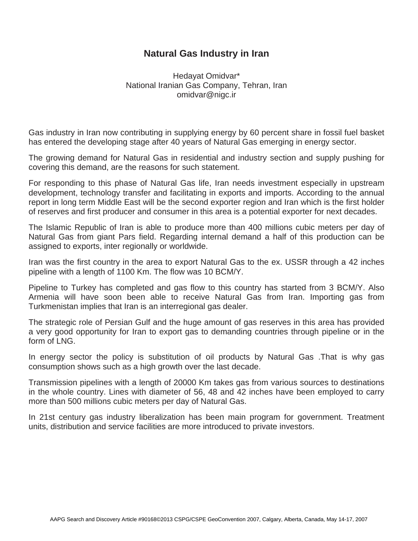## **Natural Gas Industry in Iran**

Hedayat Omidvar\* National Iranian Gas Company, Tehran, Iran omidvar@nigc.ir

Gas industry in Iran now contributing in supplying energy by 60 percent share in fossil fuel basket has entered the developing stage after 40 years of Natural Gas emerging in energy sector.

The growing demand for Natural Gas in residential and industry section and supply pushing for covering this demand, are the reasons for such statement.

For responding to this phase of Natural Gas life, Iran needs investment especially in upstream development, technology transfer and facilitating in exports and imports. According to the annual report in long term Middle East will be the second exporter region and Iran which is the first holder of reserves and first producer and consumer in this area is a potential exporter for next decades.

The Islamic Republic of Iran is able to produce more than 400 millions cubic meters per day of Natural Gas from giant Pars field. Regarding internal demand a half of this production can be assigned to exports, inter regionally or worldwide.

Iran was the first country in the area to export Natural Gas to the ex. USSR through a 42 inches pipeline with a length of 1100 Km. The flow was 10 BCM/Y.

Pipeline to Turkey has completed and gas flow to this country has started from 3 BCM/Y. Also Armenia will have soon been able to receive Natural Gas from Iran. Importing gas from Turkmenistan implies that Iran is an interregional gas dealer.

The strategic role of Persian Gulf and the huge amount of gas reserves in this area has provided a very good opportunity for Iran to export gas to demanding countries through pipeline or in the form of LNG.

In energy sector the policy is substitution of oil products by Natural Gas .That is why gas consumption shows such as a high growth over the last decade.

Transmission pipelines with a length of 20000 Km takes gas from various sources to destinations in the whole country. Lines with diameter of 56, 48 and 42 inches have been employed to carry more than 500 millions cubic meters per day of Natural Gas.

In 21st century gas industry liberalization has been main program for government. Treatment units, distribution and service facilities are more introduced to private investors.